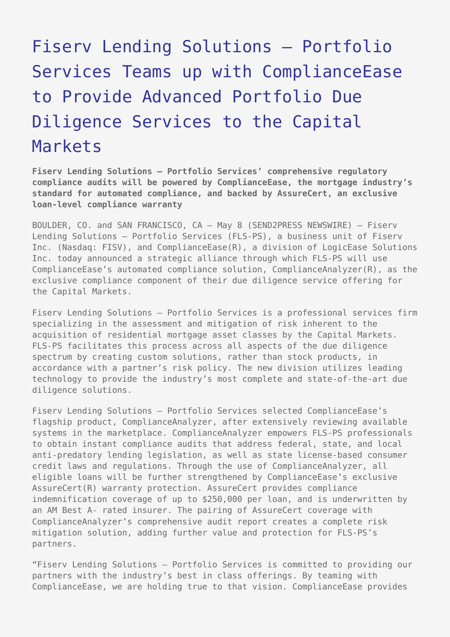# [Fiserv Lending Solutions – Portfolio](https://www.send2press.com/wire/2006-05-0508-004/) [Services Teams up with ComplianceEase](https://www.send2press.com/wire/2006-05-0508-004/) [to Provide Advanced Portfolio Due](https://www.send2press.com/wire/2006-05-0508-004/) [Diligence Services to the Capital](https://www.send2press.com/wire/2006-05-0508-004/) [Markets](https://www.send2press.com/wire/2006-05-0508-004/)

**Fiserv Lending Solutions – Portfolio Services' comprehensive regulatory compliance audits will be powered by ComplianceEase, the mortgage industry's standard for automated compliance, and backed by AssureCert, an exclusive loan-level compliance warranty**

BOULDER, CO. and SAN FRANCISCO, CA – May 8 (SEND2PRESS NEWSWIRE) — Fiserv Lending Solutions – Portfolio Services (FLS-PS), a business unit of Fiserv Inc. (Nasdaq: FISV), and ComplianceEase(R), a division of LogicEase Solutions Inc. today announced a strategic alliance through which FLS-PS will use ComplianceEase's automated compliance solution, ComplianceAnalyzer(R), as the exclusive compliance component of their due diligence service offering for the Capital Markets.

Fiserv Lending Solutions – Portfolio Services is a professional services firm specializing in the assessment and mitigation of risk inherent to the acquisition of residential mortgage asset classes by the Capital Markets. FLS-PS facilitates this process across all aspects of the due diligence spectrum by creating custom solutions, rather than stock products, in accordance with a partner's risk policy. The new division utilizes leading technology to provide the industry's most complete and state-of-the-art due diligence solutions.

Fiserv Lending Solutions – Portfolio Services selected ComplianceEase's flagship product, ComplianceAnalyzer, after extensively reviewing available systems in the marketplace. ComplianceAnalyzer empowers FLS-PS professionals to obtain instant compliance audits that address federal, state, and local anti-predatory lending legislation, as well as state license-based consumer credit laws and regulations. Through the use of ComplianceAnalyzer, all eligible loans will be further strengthened by ComplianceEase's exclusive AssureCert(R) warranty protection. AssureCert provides compliance indemnification coverage of up to \$250,000 per loan, and is underwritten by an AM Best A- rated insurer. The pairing of AssureCert coverage with ComplianceAnalyzer's comprehensive audit report creates a complete risk mitigation solution, adding further value and protection for FLS-PS's partners.

"Fiserv Lending Solutions – Portfolio Services is committed to providing our partners with the industry's best in class offerings. By teaming with ComplianceEase, we are holding true to that vision. ComplianceEase provides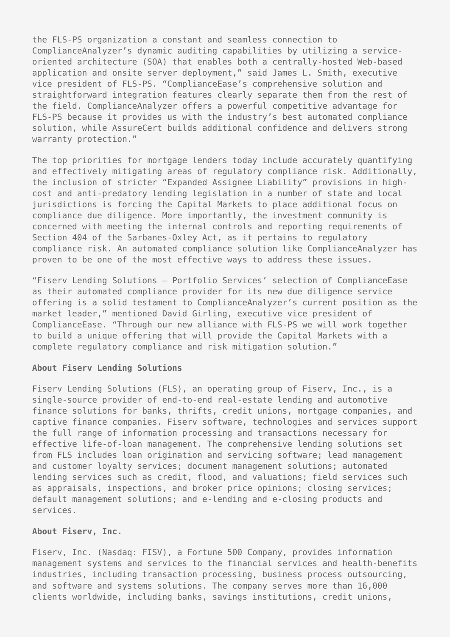the FLS-PS organization a constant and seamless connection to ComplianceAnalyzer's dynamic auditing capabilities by utilizing a serviceoriented architecture (SOA) that enables both a centrally-hosted Web-based application and onsite server deployment," said James L. Smith, executive vice president of FLS-PS. "ComplianceEase's comprehensive solution and straightforward integration features clearly separate them from the rest of the field. ComplianceAnalyzer offers a powerful competitive advantage for FLS-PS because it provides us with the industry's best automated compliance solution, while AssureCert builds additional confidence and delivers strong warranty protection."

The top priorities for mortgage lenders today include accurately quantifying and effectively mitigating areas of regulatory compliance risk. Additionally, the inclusion of stricter "Expanded Assignee Liability" provisions in highcost and anti-predatory lending legislation in a number of state and local jurisdictions is forcing the Capital Markets to place additional focus on compliance due diligence. More importantly, the investment community is concerned with meeting the internal controls and reporting requirements of Section 404 of the Sarbanes-Oxley Act, as it pertains to regulatory compliance risk. An automated compliance solution like ComplianceAnalyzer has proven to be one of the most effective ways to address these issues.

"Fiserv Lending Solutions – Portfolio Services' selection of ComplianceEase as their automated compliance provider for its new due diligence service offering is a solid testament to ComplianceAnalyzer's current position as the market leader," mentioned David Girling, executive vice president of ComplianceEase. "Through our new alliance with FLS-PS we will work together to build a unique offering that will provide the Capital Markets with a complete regulatory compliance and risk mitigation solution."

## **About Fiserv Lending Solutions**

Fiserv Lending Solutions (FLS), an operating group of Fiserv, Inc., is a single-source provider of end-to-end real-estate lending and automotive finance solutions for banks, thrifts, credit unions, mortgage companies, and captive finance companies. Fiserv software, technologies and services support the full range of information processing and transactions necessary for effective life-of-loan management. The comprehensive lending solutions set from FLS includes loan origination and servicing software; lead management and customer loyalty services; document management solutions; automated lending services such as credit, flood, and valuations; field services such as appraisals, inspections, and broker price opinions; closing services; default management solutions; and e-lending and e-closing products and services.

#### **About Fiserv, Inc.**

Fiserv, Inc. (Nasdaq: FISV), a Fortune 500 Company, provides information management systems and services to the financial services and health-benefits industries, including transaction processing, business process outsourcing, and software and systems solutions. The company serves more than 16,000 clients worldwide, including banks, savings institutions, credit unions,